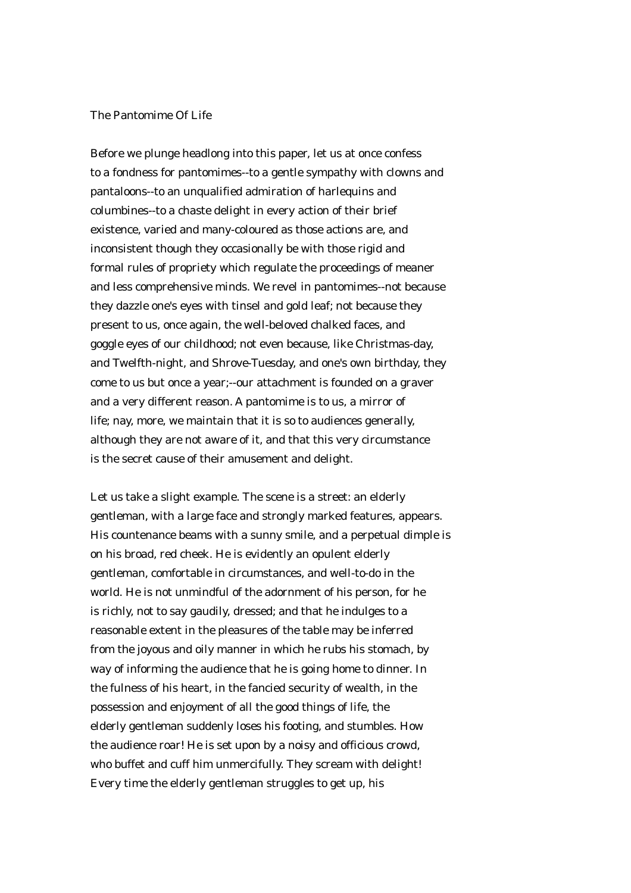## The Pantomime Of Life

Before we plunge headlong into this paper, let us at once confess to a fondness for pantomimes--to a gentle sympathy with clowns and pantaloons--to an unqualified admiration of harlequins and columbines--to a chaste delight in every action of their brief existence, varied and many-coloured as those actions are, and inconsistent though they occasionally be with those rigid and formal rules of propriety which regulate the proceedings of meaner and less comprehensive minds. We revel in pantomimes--not because they dazzle one's eyes with tinsel and gold leaf; not because they present to us, once again, the well-beloved chalked faces, and goggle eyes of our childhood; not even because, like Christmas-day, and Twelfth-night, and Shrove-Tuesday, and one's own birthday, they come to us but once a year;--our attachment is founded on a graver and a very different reason. A pantomime is to us, a mirror of life; nay, more, we maintain that it is so to audiences generally, although they are not aware of it, and that this very circumstance is the secret cause of their amusement and delight.

Let us take a slight example. The scene is a street: an elderly gentleman, with a large face and strongly marked features, appears. His countenance beams with a sunny smile, and a perpetual dimple is on his broad, red cheek. He is evidently an opulent elderly gentleman, comfortable in circumstances, and well-to-do in the world. He is not unmindful of the adornment of his person, for he is richly, not to say gaudily, dressed; and that he indulges to a reasonable extent in the pleasures of the table may be inferred from the joyous and oily manner in which he rubs his stomach, by way of informing the audience that he is going home to dinner. In the fulness of his heart, in the fancied security of wealth, in the possession and enjoyment of all the good things of life, the elderly gentleman suddenly loses his footing, and stumbles. How the audience roar! He is set upon by a noisy and officious crowd, who buffet and cuff him unmercifully. They scream with delight! Every time the elderly gentleman struggles to get up, his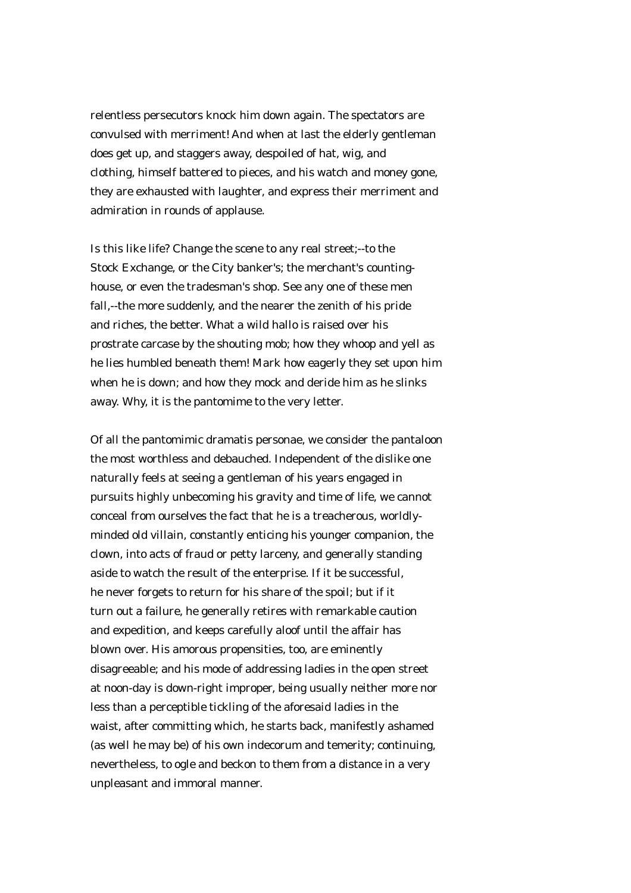relentless persecutors knock him down again. The spectators are convulsed with merriment! And when at last the elderly gentleman does get up, and staggers away, despoiled of hat, wig, and clothing, himself battered to pieces, and his watch and money gone, they are exhausted with laughter, and express their merriment and admiration in rounds of applause.

Is this like life? Change the scene to any real street;--to the Stock Exchange, or the City banker's; the merchant's countinghouse, or even the tradesman's shop. See any one of these men fall,--the more suddenly, and the nearer the zenith of his pride and riches, the better. What a wild hallo is raised over his prostrate carcase by the shouting mob; how they whoop and yell as he lies humbled beneath them! Mark how eagerly they set upon him when he is down; and how they mock and deride him as he slinks away. Why, it is the pantomime to the very letter.

Of all the pantomimic dramatis personae, we consider the pantaloon the most worthless and debauched. Independent of the dislike one naturally feels at seeing a gentleman of his years engaged in pursuits highly unbecoming his gravity and time of life, we cannot conceal from ourselves the fact that he is a treacherous, worldlyminded old villain, constantly enticing his younger companion, the clown, into acts of fraud or petty larceny, and generally standing aside to watch the result of the enterprise. If it be successful, he never forgets to return for his share of the spoil; but if it turn out a failure, he generally retires with remarkable caution and expedition, and keeps carefully aloof until the affair has blown over. His amorous propensities, too, are eminently disagreeable; and his mode of addressing ladies in the open street at noon-day is down-right improper, being usually neither more nor less than a perceptible tickling of the aforesaid ladies in the waist, after committing which, he starts back, manifestly ashamed (as well he may be) of his own indecorum and temerity; continuing, nevertheless, to ogle and beckon to them from a distance in a very unpleasant and immoral manner.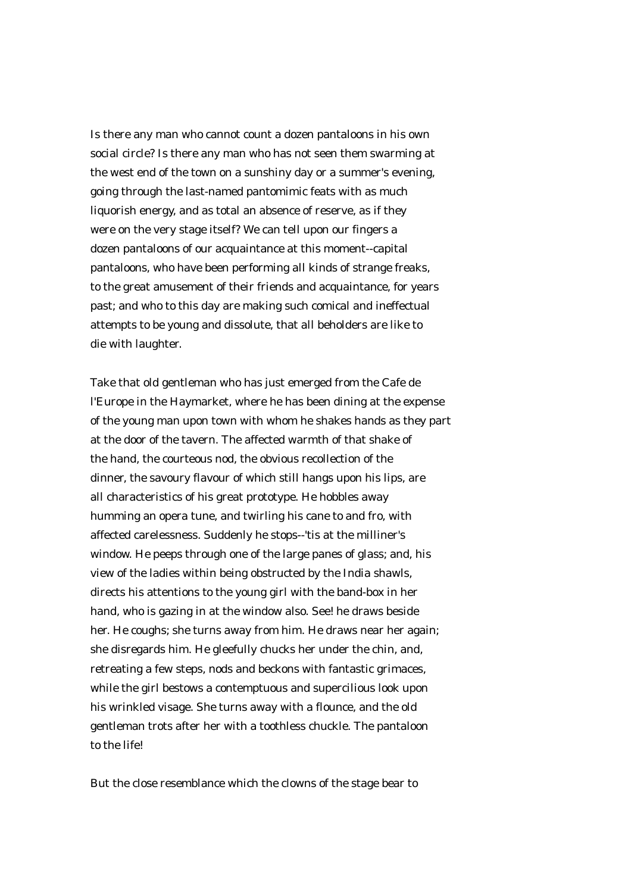Is there any man who cannot count a dozen pantaloons in his own social circle? Is there any man who has not seen them swarming at the west end of the town on a sunshiny day or a summer's evening, going through the last-named pantomimic feats with as much liquorish energy, and as total an absence of reserve, as if they were on the very stage itself? We can tell upon our fingers a dozen pantaloons of our acquaintance at this moment--capital pantaloons, who have been performing all kinds of strange freaks, to the great amusement of their friends and acquaintance, for years past; and who to this day are making such comical and ineffectual attempts to be young and dissolute, that all beholders are like to die with laughter.

Take that old gentleman who has just emerged from the Cafe de l'Europe in the Haymarket, where he has been dining at the expense of the young man upon town with whom he shakes hands as they part at the door of the tavern. The affected warmth of that shake of the hand, the courteous nod, the obvious recollection of the dinner, the savoury flavour of which still hangs upon his lips, are all characteristics of his great prototype. He hobbles away humming an opera tune, and twirling his cane to and fro, with affected carelessness. Suddenly he stops--'tis at the milliner's window. He peeps through one of the large panes of glass; and, his view of the ladies within being obstructed by the India shawls, directs his attentions to the young girl with the band-box in her hand, who is gazing in at the window also. See! he draws beside her. He coughs; she turns away from him. He draws near her again; she disregards him. He gleefully chucks her under the chin, and, retreating a few steps, nods and beckons with fantastic grimaces, while the girl bestows a contemptuous and supercilious look upon his wrinkled visage. She turns away with a flounce, and the old gentleman trots after her with a toothless chuckle. The pantaloon to the life!

But the close resemblance which the clowns of the stage bear to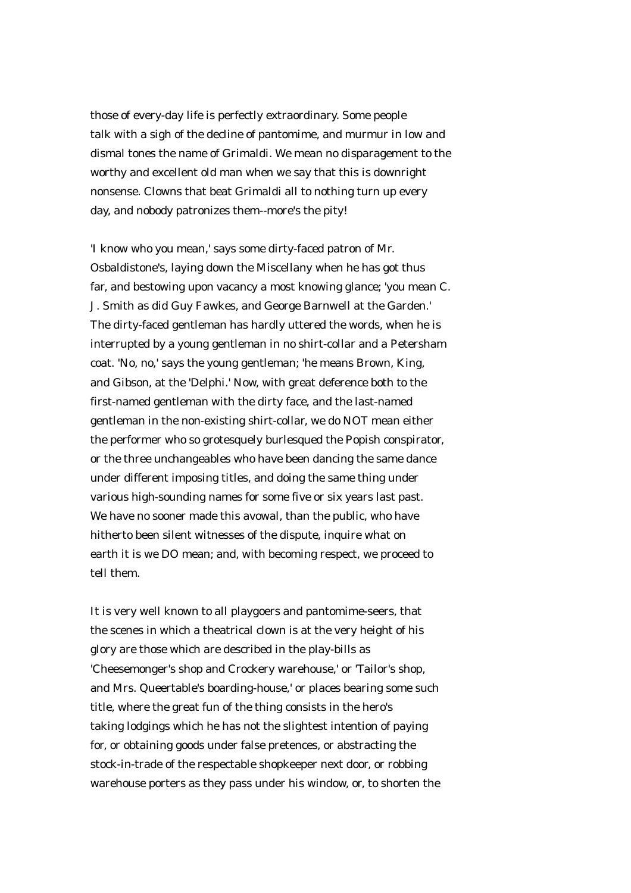those of every-day life is perfectly extraordinary. Some people talk with a sigh of the decline of pantomime, and murmur in low and dismal tones the name of Grimaldi. We mean no disparagement to the worthy and excellent old man when we say that this is downright nonsense. Clowns that beat Grimaldi all to nothing turn up every day, and nobody patronizes them--more's the pity!

'I know who you mean,' says some dirty-faced patron of Mr. Osbaldistone's, laying down the Miscellany when he has got thus far, and bestowing upon vacancy a most knowing glance; 'you mean C. J. Smith as did Guy Fawkes, and George Barnwell at the Garden.' The dirty-faced gentleman has hardly uttered the words, when he is interrupted by a young gentleman in no shirt-collar and a Petersham coat. 'No, no,' says the young gentleman; 'he means Brown, King, and Gibson, at the 'Delphi.' Now, with great deference both to the first-named gentleman with the dirty face, and the last-named gentleman in the non-existing shirt-collar, we do NOT mean either the performer who so grotesquely burlesqued the Popish conspirator, or the three unchangeables who have been dancing the same dance under different imposing titles, and doing the same thing under various high-sounding names for some five or six years last past. We have no sooner made this avowal, than the public, who have hitherto been silent witnesses of the dispute, inquire what on earth it is we DO mean; and, with becoming respect, we proceed to tell them.

It is very well known to all playgoers and pantomime-seers, that the scenes in which a theatrical clown is at the very height of his glory are those which are described in the play-bills as 'Cheesemonger's shop and Crockery warehouse,' or 'Tailor's shop, and Mrs. Queertable's boarding-house,' or places bearing some such title, where the great fun of the thing consists in the hero's taking lodgings which he has not the slightest intention of paying for, or obtaining goods under false pretences, or abstracting the stock-in-trade of the respectable shopkeeper next door, or robbing warehouse porters as they pass under his window, or, to shorten the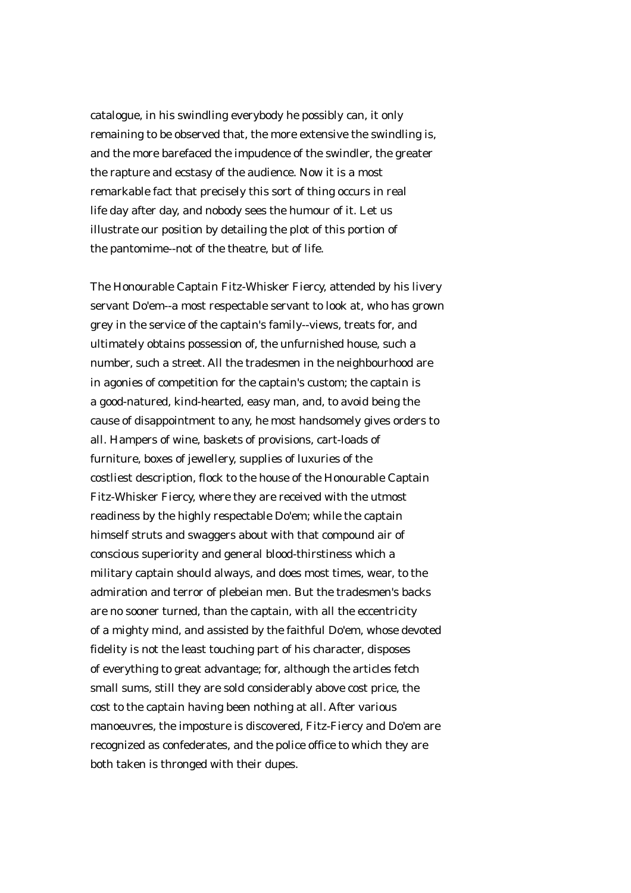catalogue, in his swindling everybody he possibly can, it only remaining to be observed that, the more extensive the swindling is, and the more barefaced the impudence of the swindler, the greater the rapture and ecstasy of the audience. Now it is a most remarkable fact that precisely this sort of thing occurs in real life day after day, and nobody sees the humour of it. Let us illustrate our position by detailing the plot of this portion of the pantomime--not of the theatre, but of life.

The Honourable Captain Fitz-Whisker Fiercy, attended by his livery servant Do'em--a most respectable servant to look at, who has grown grey in the service of the captain's family--views, treats for, and ultimately obtains possession of, the unfurnished house, such a number, such a street. All the tradesmen in the neighbourhood are in agonies of competition for the captain's custom; the captain is a good-natured, kind-hearted, easy man, and, to avoid being the cause of disappointment to any, he most handsomely gives orders to all. Hampers of wine, baskets of provisions, cart-loads of furniture, boxes of jewellery, supplies of luxuries of the costliest description, flock to the house of the Honourable Captain Fitz-Whisker Fiercy, where they are received with the utmost readiness by the highly respectable Do'em; while the captain himself struts and swaggers about with that compound air of conscious superiority and general blood-thirstiness which a military captain should always, and does most times, wear, to the admiration and terror of plebeian men. But the tradesmen's backs are no sooner turned, than the captain, with all the eccentricity of a mighty mind, and assisted by the faithful Do'em, whose devoted fidelity is not the least touching part of his character, disposes of everything to great advantage; for, although the articles fetch small sums, still they are sold considerably above cost price, the cost to the captain having been nothing at all. After various manoeuvres, the imposture is discovered, Fitz-Fiercy and Do'em are recognized as confederates, and the police office to which they are both taken is thronged with their dupes.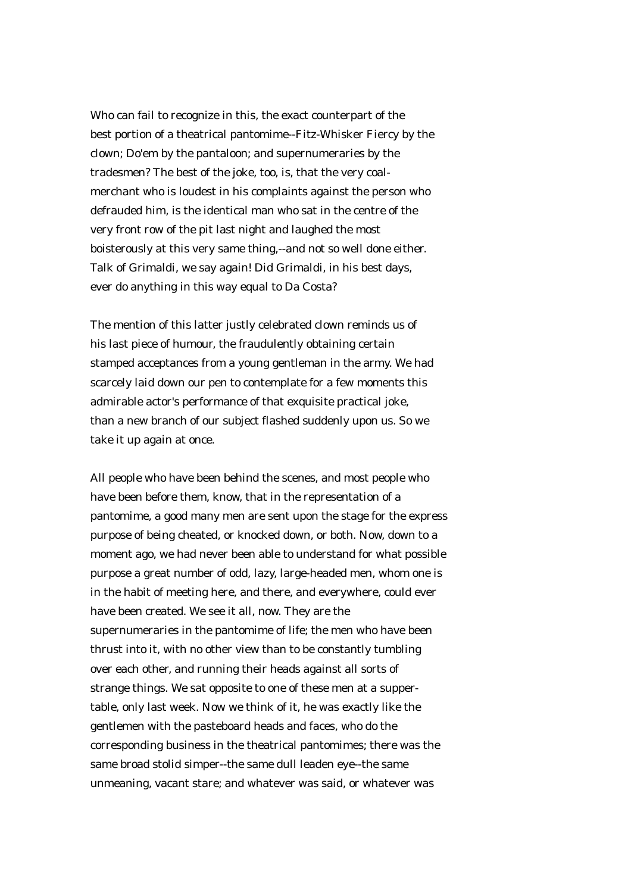Who can fail to recognize in this, the exact counterpart of the best portion of a theatrical pantomime--Fitz-Whisker Fiercy by the clown; Do'em by the pantaloon; and supernumeraries by the tradesmen? The best of the joke, too, is, that the very coalmerchant who is loudest in his complaints against the person who defrauded him, is the identical man who sat in the centre of the very front row of the pit last night and laughed the most boisterously at this very same thing,--and not so well done either. Talk of Grimaldi, we say again! Did Grimaldi, in his best days, ever do anything in this way equal to Da Costa?

The mention of this latter justly celebrated clown reminds us of his last piece of humour, the fraudulently obtaining certain stamped acceptances from a young gentleman in the army. We had scarcely laid down our pen to contemplate for a few moments this admirable actor's performance of that exquisite practical joke, than a new branch of our subject flashed suddenly upon us. So we take it up again at once.

All people who have been behind the scenes, and most people who have been before them, know, that in the representation of a pantomime, a good many men are sent upon the stage for the express purpose of being cheated, or knocked down, or both. Now, down to a moment ago, we had never been able to understand for what possible purpose a great number of odd, lazy, large-headed men, whom one is in the habit of meeting here, and there, and everywhere, could ever have been created. We see it all, now. They are the supernumeraries in the pantomime of life; the men who have been thrust into it, with no other view than to be constantly tumbling over each other, and running their heads against all sorts of strange things. We sat opposite to one of these men at a suppertable, only last week. Now we think of it, he was exactly like the gentlemen with the pasteboard heads and faces, who do the corresponding business in the theatrical pantomimes; there was the same broad stolid simper--the same dull leaden eye--the same unmeaning, vacant stare; and whatever was said, or whatever was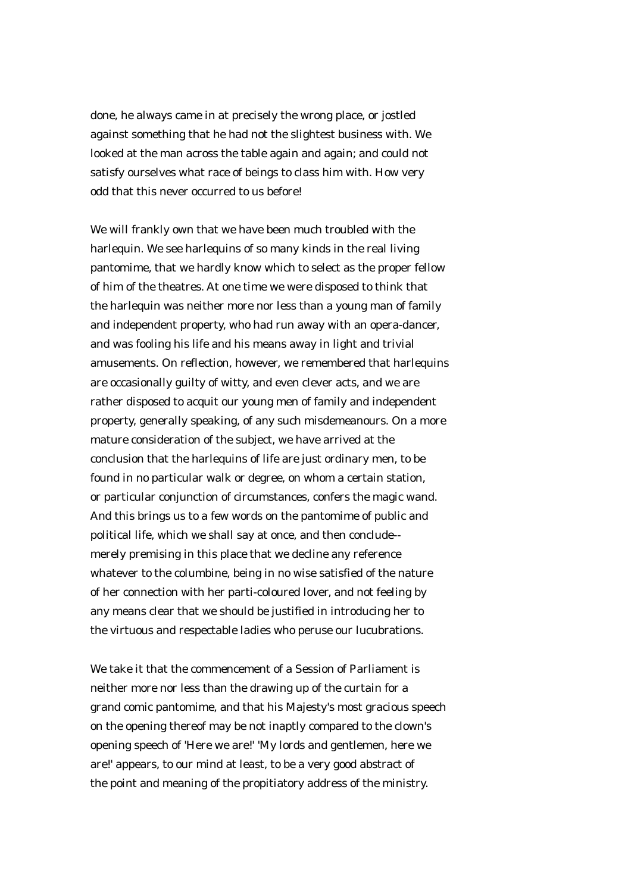done, he always came in at precisely the wrong place, or jostled against something that he had not the slightest business with. We looked at the man across the table again and again; and could not satisfy ourselves what race of beings to class him with. How very odd that this never occurred to us before!

We will frankly own that we have been much troubled with the harlequin. We see harlequins of so many kinds in the real living pantomime, that we hardly know which to select as the proper fellow of him of the theatres. At one time we were disposed to think that the harlequin was neither more nor less than a young man of family and independent property, who had run away with an opera-dancer, and was fooling his life and his means away in light and trivial amusements. On reflection, however, we remembered that harlequins are occasionally guilty of witty, and even clever acts, and we are rather disposed to acquit our young men of family and independent property, generally speaking, of any such misdemeanours. On a more mature consideration of the subject, we have arrived at the conclusion that the harlequins of life are just ordinary men, to be found in no particular walk or degree, on whom a certain station, or particular conjunction of circumstances, confers the magic wand. And this brings us to a few words on the pantomime of public and political life, which we shall say at once, and then conclude- merely premising in this place that we decline any reference whatever to the columbine, being in no wise satisfied of the nature of her connection with her parti-coloured lover, and not feeling by any means clear that we should be justified in introducing her to the virtuous and respectable ladies who peruse our lucubrations.

We take it that the commencement of a Session of Parliament is neither more nor less than the drawing up of the curtain for a grand comic pantomime, and that his Majesty's most gracious speech on the opening thereof may be not inaptly compared to the clown's opening speech of 'Here we are!' 'My lords and gentlemen, here we are!' appears, to our mind at least, to be a very good abstract of the point and meaning of the propitiatory address of the ministry.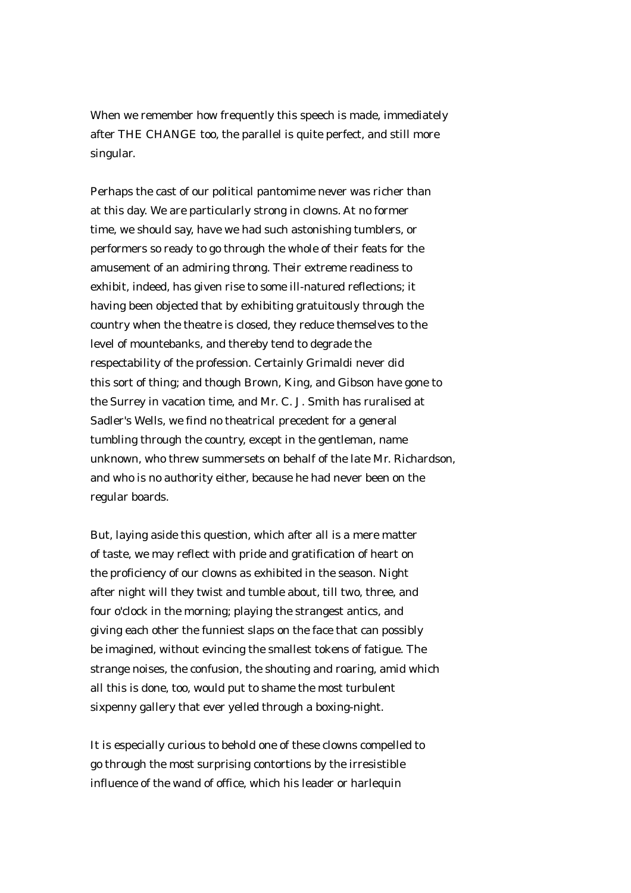When we remember how frequently this speech is made, immediately after THE CHANGE too, the parallel is quite perfect, and still more singular.

Perhaps the cast of our political pantomime never was richer than at this day. We are particularly strong in clowns. At no former time, we should say, have we had such astonishing tumblers, or performers so ready to go through the whole of their feats for the amusement of an admiring throng. Their extreme readiness to exhibit, indeed, has given rise to some ill-natured reflections; it having been objected that by exhibiting gratuitously through the country when the theatre is closed, they reduce themselves to the level of mountebanks, and thereby tend to degrade the respectability of the profession. Certainly Grimaldi never did this sort of thing; and though Brown, King, and Gibson have gone to the Surrey in vacation time, and Mr. C. J. Smith has ruralised at Sadler's Wells, we find no theatrical precedent for a general tumbling through the country, except in the gentleman, name unknown, who threw summersets on behalf of the late Mr. Richardson, and who is no authority either, because he had never been on the regular boards.

But, laying aside this question, which after all is a mere matter of taste, we may reflect with pride and gratification of heart on the proficiency of our clowns as exhibited in the season. Night after night will they twist and tumble about, till two, three, and four o'clock in the morning; playing the strangest antics, and giving each other the funniest slaps on the face that can possibly be imagined, without evincing the smallest tokens of fatigue. The strange noises, the confusion, the shouting and roaring, amid which all this is done, too, would put to shame the most turbulent sixpenny gallery that ever yelled through a boxing-night.

It is especially curious to behold one of these clowns compelled to go through the most surprising contortions by the irresistible influence of the wand of office, which his leader or harlequin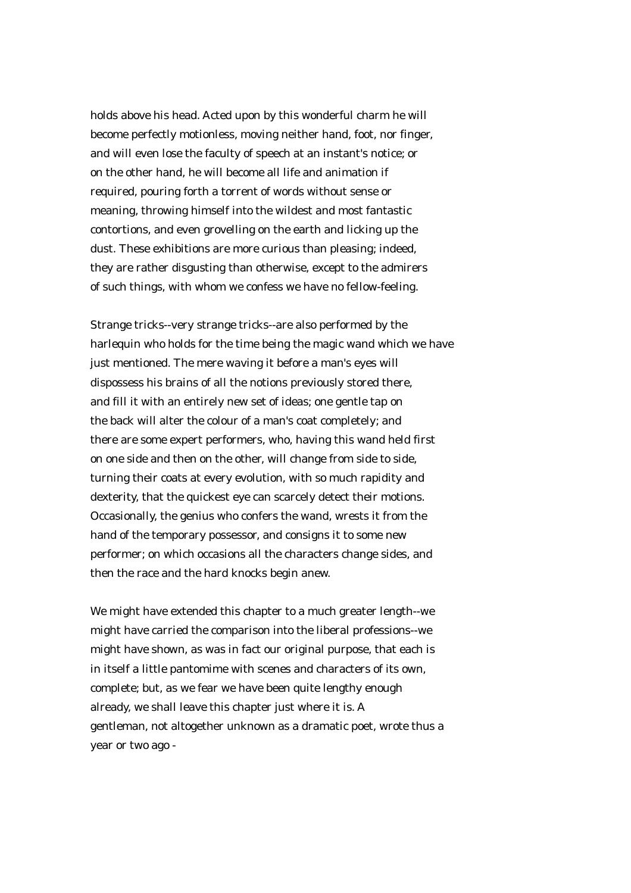holds above his head. Acted upon by this wonderful charm he will become perfectly motionless, moving neither hand, foot, nor finger, and will even lose the faculty of speech at an instant's notice; or on the other hand, he will become all life and animation if required, pouring forth a torrent of words without sense or meaning, throwing himself into the wildest and most fantastic contortions, and even grovelling on the earth and licking up the dust. These exhibitions are more curious than pleasing; indeed, they are rather disgusting than otherwise, except to the admirers of such things, with whom we confess we have no fellow-feeling.

Strange tricks--very strange tricks--are also performed by the harlequin who holds for the time being the magic wand which we have just mentioned. The mere waving it before a man's eyes will dispossess his brains of all the notions previously stored there, and fill it with an entirely new set of ideas; one gentle tap on the back will alter the colour of a man's coat completely; and there are some expert performers, who, having this wand held first on one side and then on the other, will change from side to side, turning their coats at every evolution, with so much rapidity and dexterity, that the quickest eye can scarcely detect their motions. Occasionally, the genius who confers the wand, wrests it from the hand of the temporary possessor, and consigns it to some new performer; on which occasions all the characters change sides, and then the race and the hard knocks begin anew.

We might have extended this chapter to a much greater length--we might have carried the comparison into the liberal professions--we might have shown, as was in fact our original purpose, that each is in itself a little pantomime with scenes and characters of its own, complete; but, as we fear we have been quite lengthy enough already, we shall leave this chapter just where it is. A gentleman, not altogether unknown as a dramatic poet, wrote thus a year or two ago -